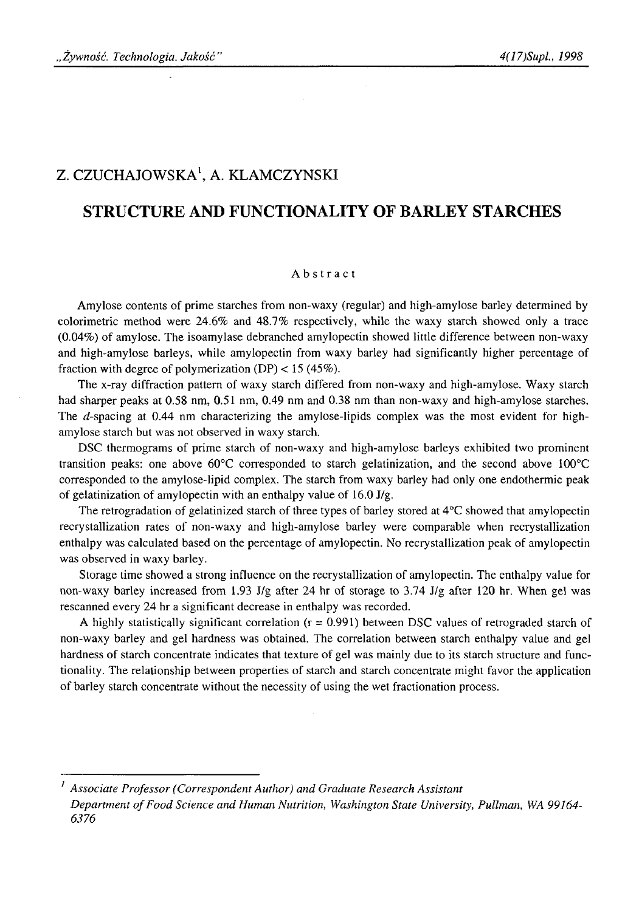# Z. CZUCHAJOWSKA<sup>1</sup>, A. KLAMCZYNSKI

# **STRUCTURE AND FUNCTIONALITY OF BARLEY STARCHES**

#### **Abstract**

Amylose contents of prime starches from non-waxy (regular) and high-amylose barley determined by colorimetric method were 24.6% and 48.7% respectively, while the waxy starch showed only a trace (0.04%) of amylose. The isoamylase debranched amylopectin showed little difference between non-waxy and high-amylose barleys, while amylopectin from waxy barley had significantly higher percentage of fraction with degree of polymerization (DP) < 15 (45%).

The x-ray diffraction pattern of waxy starch differed from non-waxy and high-amylose. Waxy starch had sharper peaks at 0.58 nm, 0.51 nm, 0.49 nm and 0.38 nm than non-waxy and high-amylose starches. The d-spacing at 0.44 nm characterizing the amylose-lipids complex was the most evident for highamylose starch but was not observed in waxy starch.

DSC thermograms of prime starch of non-waxy and high-amylose barleys exhibited two prominent transition peaks: one above 60°C corresponded to starch gelatinization, and the second above 100°C corresponded to the amylose-lipid complex. The starch from waxy barley had only one endothermic peak of gelatinization of amylopectin with an enthalpy value of 16.0 J/g.

The retrogradation of gelatinized starch of three types of barley stored at 4°C showed that amylopectin recrystallization rates of non-waxy and high-amylose barley were comparable when recrystallization enthalpy was calculated based on the percentage of amylopectin. No recrystallization peak of amylopectin was observed in waxy barley.

Storage time showed a strong influence on the recrystallization of amylopectin. The enthalpy value for non-waxy barley increased from 1.93 J/g after 24 hr of storage to 3.74 J/g after 120 hr. When gel was rescanned every 24 hr a significant decrease in enthalpy was recorded.

A highly statistically significant correlation  $(r = 0.991)$  between DSC values of retrograded starch of non-waxy barley and gel hardness was obtained. The correlation between starch enthalpy value and gel hardness of starch concentrate indicates that texture of gel was mainly due to its starch structure and functionality. The relationship between properties of starch and starch concentrate might favor the application of barley starch concentrate without the necessity of using the wet fractionation process.

*1 Associate Professor (Correspondent Author) and Graduate Research Assistant* Department of Food Science and Human Nutrition, Washington State University, Pullman, WA 99164-*6376*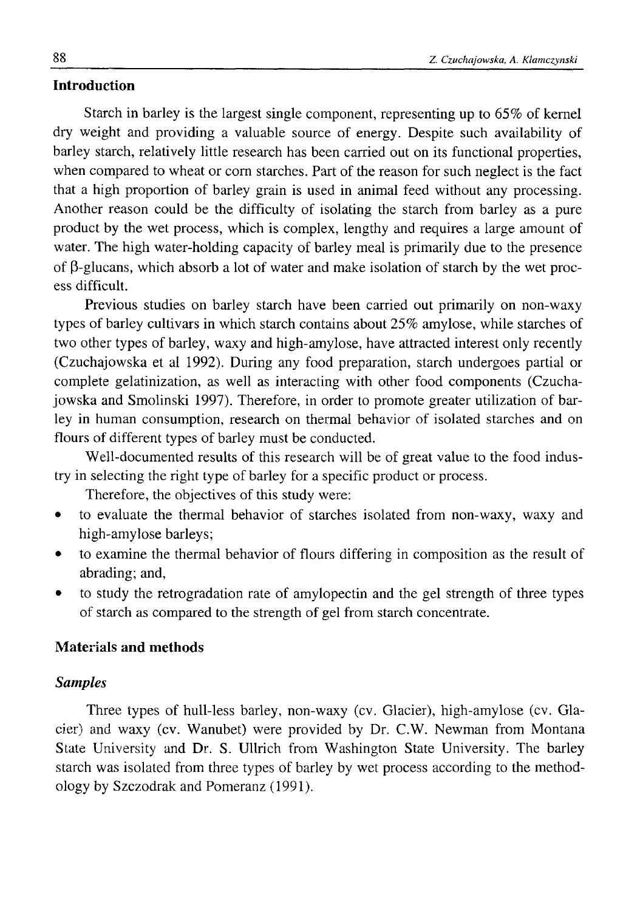# **Introduction**

Starch in barley is the largest single component, representing up to 65% of kernel dry weight and providing a valuable source of energy. Despite such availability of barley starch, relatively little research has been carried out on its functional properties, when compared to wheat or corn starches. Part of the reason for such neglect is the fact that a high proportion of barley grain is used in animal feed without any processing. Another reason could be the difficulty of isolating the starch from barley as a pure product by the wet process, which is complex, lengthy and requires a large amount of water. The high water-holding capacity of barley meal is primarily due to the presence of β-glucans, which absorb a lot of water and make isolation of starch by the wet process difficult.

Previous studies on barley starch have been carried out primarily on non-waxy types of barley cultivars in which starch contains about 25% amylose, while starches of two other types of barley, waxy and high-amylose, have attracted interest only recently (Czuchajowska et al 1992). During any food preparation, starch undergoes partial or complete gelatinization, as well as interacting with other food components (Czuchajowska and Smoliński 1997). Therefore, in order to promote greater utilization of barley in human consumption, research on thermal behavior of isolated starches and on flours of different types of barley must be conducted.

Well-documented results of this research will be of great value to the food industry in selecting the right type of barley for a specific product or process.

Therefore, the objectives of this study were:

- to evaluate the thermal behavior of starches isolated from non-waxy, waxy and high-amylose barleys;
- to examine the thermal behavior of flours differing in composition as the result of abrading; and,
- to study the retrogradation rate of amylopectin and the gel strength of three types of starch as compared to the strength of gel from starch concentrate.

## **Materials and methods**

#### *Samples*

Three types of hull-less barley, non-waxy (cv. Glacier), high-amylose (cv. Glacier) and waxy (cv. Wanubet) were provided by Dr. C.W. Newman from Montana State University and Dr. S. Ullrich from Washington State University. The barley starch was isolated from three types of barley by wet process according to the methodology by Szczodrak and Pomeranz (1991).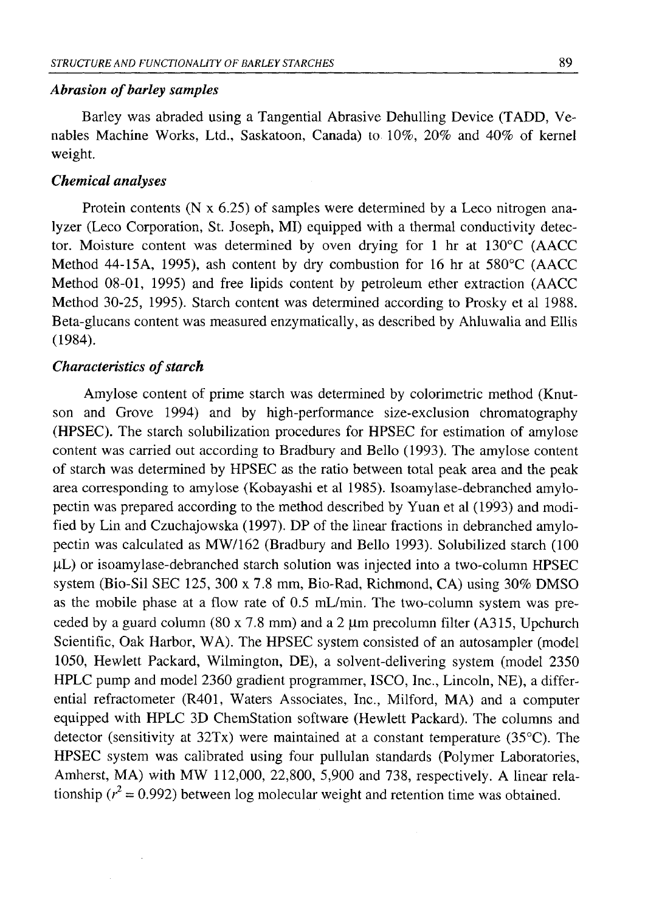#### *Abrasion of barley samples*

Barley was abraded using a Tangential Abrasive Dehulling Device (TADD, Venables Machine Works, Ltd., Saskatoon, Canada) to 10%, 20% and 40% of kernel weight.

## *Chemical analyses*

Protein contents (N x 6.25) of samples were determined by a Leco nitrogen analyzer (Leco Corporation, St. Joseph, MI) equipped with a thermal conductivity detector. Moisture content was determined by oven drying for 1 hr at 130°C (AACC Method 44-15A, 1995), ash content by dry combustion for 16 hr at 580°C (AACC Method 08-01, 1995) and free lipids content by petroleum ether extraction (AACC Method 30-25, 1995). Starch content was determined according to Prosky et al 1988. Beta-glucans content was measured enzymatically, as described by Ahluwalia and Ellis (1984).

## *Characteristics of starch*

Amylose content of prime starch was determined by colorimetric method (Knutson and Grove 1994) and by high-performance size-exclusion chromatography (HPSEC). The starch solubilization procedures for HPSEC for estimation of amylose content was carried out according to Bradbury and Bello (1993). The amylose content of starch was determined by HPSEC as the ratio between total peak area and the peak area corresponding to amylose (Kobayashi et al 1985). Isoamylase-debranched amylopectin was prepared according to the method described by Yuan et al (1993) and modified by Lin and Czuchajowska (1997). DP of the linear fractions in debranched amylopectin was calculated as MW/162 (Bradbury and Bello 1993). Solubilized starch (100  $\mu$ L) or isoamylase-debranched starch solution was injected into a two-column HPSEC system (Bio-Sil SEC 125, 300 x 7.8 mm, Bio-Rad, Richmond, CA) using 30% DMSO as the mobile phase at a flow rate of 0.5 mL/min. The two-column system was preceded by a guard column (80 x 7.8 mm) and a 2  $\mu$ m precolumn filter (A315, Upchurch Scientific, Oak Harbor, WA). The HPSEC system consisted of an autosampler (model 1050, Hewlett Packard, Wilmington, DE), a solvent-delivering system (model 2350 HPLC pump and model 2360 gradient programmer, ISCO, Inc., Lincoln, NE), a differential refractometer (R401, Waters Associates, Inc., Milford, MA) and a computer equipped with HPLC 3D ChemStation software (Hewlett Packard). The columns and detector (sensitivity at  $32Tx$ ) were maintained at a constant temperature  $(35^{\circ}C)$ . The HPSEC system was calibrated using four pullulan standards (Polymer Laboratories, Amherst, MA) with MW 112,000, 22,800, 5,900 and 738, respectively. A linear relationship ( $r^2$  = 0.992) between log molecular weight and retention time was obtained.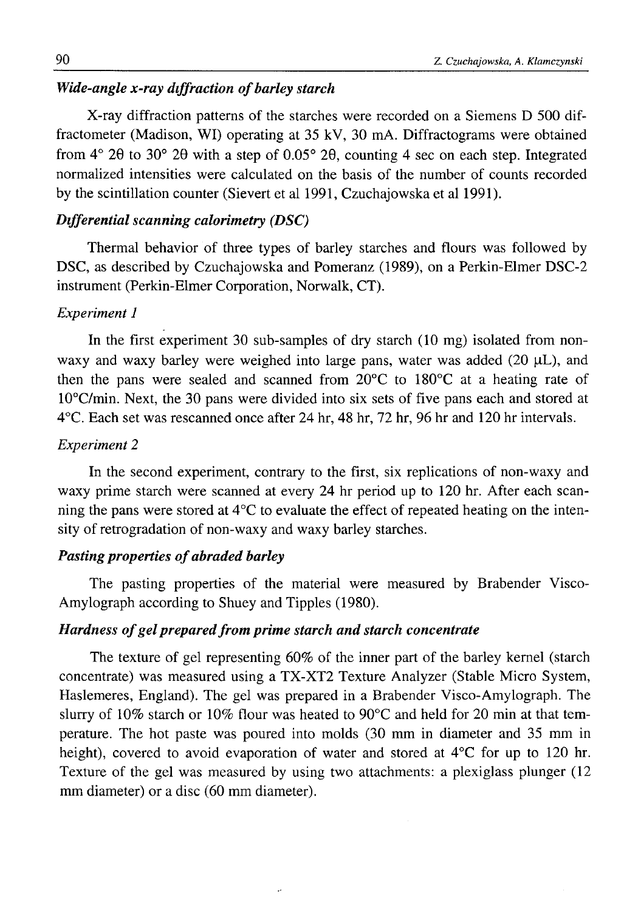# *Wide-angle x-ray diffraction of barley starch*

X-ray diffraction patterns of the starches were recorded on a Siemens D 500 diffractometer (Madison, WI) operating at 35 kV, 30 mA. Diffractograms were obtained from 4° 2Θ to 30° 2Θ with a step of 0.05° 2Θ, counting 4 sec on each step. Integrated normalized intensities were calculated on the basis of the number of counts recorded by the scintillation counter (Sievert et al 1991, Czuchajowska et al 1991).

# *Differential scanning calorimetry (DSC)*

Thermal behavior of three types of barley starches and flours was followed by DSC, as described by Czuchajowska and Pomeranz (1989), on a Perkin-Elmer DSC-2 instrument (Perkin-Elmer Corporation, Norwalk, CT).

#### *Experiment 1*

In the first experiment 30 sub-samples of dry starch (10 mg) isolated from nonwaxy and waxy barley were weighed into large pans, water was added  $(20 \mu L)$ , and then the pans were sealed and scanned from  $20^{\circ}$ C to  $180^{\circ}$ C at a heating rate of 10°C/min. Next, the 30 pans were divided into six sets of five pans each and stored at 4°C. Each set was rescanned once after 24 hr, 48 hr, 72 hr, 96 hr and 120 hr intervals.

## *Experiment 2*

In the second experiment, contrary to the first, six replications of non-waxy and waxy prime starch were scanned at every 24 hr period up to 120 hr. After each scanning the pans were stored at 4°C to evaluate the effect of repeated heating on the intensity of retrogradation of non-waxy and waxy barley starches.

# *Pasting properties of abraded barley*

The pasting properties of the material were measured by Brabender Visco-Amylograph according to Shuey and Tipples (1980).

## *Hardness of gel prepared from prime starch and starch concentrate*

The texture of gel representing 60% of the inner part of the barley kernel (starch concentrate) was measured using a TX-XT2 Texture Analyzer (Stable Micro System, Haslemeres, England). The gel was prepared in a Brabender Visco-Amylograph. The slurry of 10% starch or 10% flour was heated to 90°C and held for 20 min at that temperature. The hot paste was poured into molds (30 mm in diameter and 35 mm in height), covered to avoid evaporation of water and stored at 4<sup>o</sup>C for up to 120 hr. Texture of the gel was measured by using two attachments: a plexiglass plunger (12 mm diameter) or a disc (60 mm diameter).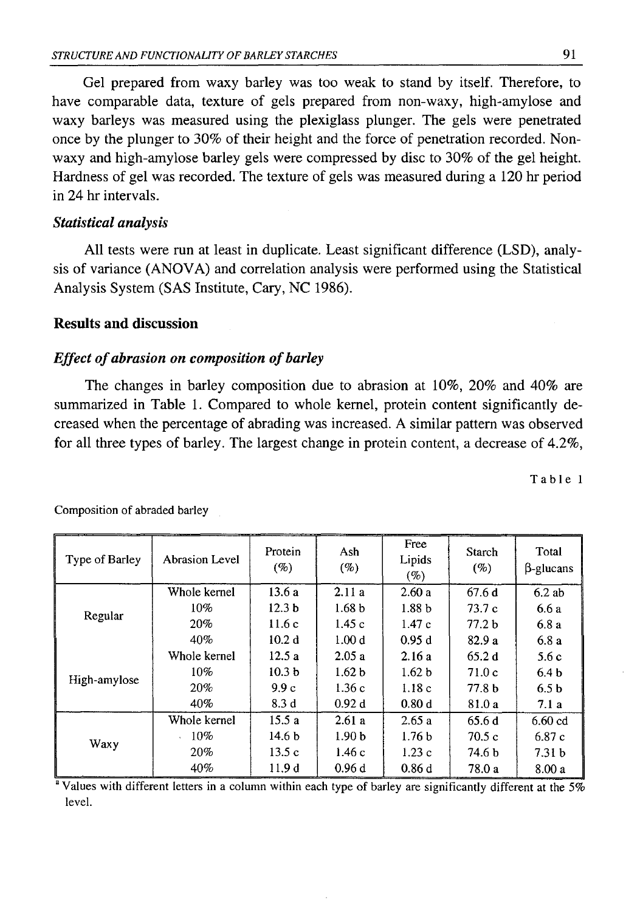Gel prepared from waxy barley was too weak to stand by itself. Therefore, to have comparable data, texture of gels prepared from non-waxy, high-amylose and waxy barleys was measured using the plexiglass plunger. The gels were penetrated once by the plunger to 30% of their height and the force of penetration recorded. Nonwaxy and high-amylose barley gels were compressed by disc to 30% of the gel height. Hardness of gel was recorded. The texture of gels was measured during a 120 hr period in 24 hr intervals.

### *Statistical analysis*

All tests were run at least in duplicate. Least significant difference (LSD), analysis of variance (ANOVA) and correlation analysis were performed using the Statistical Analysis System (SAS Institute, Cary, NC 1986).

## **Results and discussion**

## *Effect of abrasion on composition of barley*

The changes in barley composition due to abrasion at 10%, 20% and 40% are summarized in Table 1. Compared to whole kernel, protein content significantly decreased when the percentage of abrading was increased. A similar pattern was observed for all three types of barley. The largest change in protein content, a decrease of 4.2%,

Table 1

| Type of Barley | Abrasion Level | Protein<br>(%)    | Ash<br>$(\%)$     | Free<br>Lipids<br>(%) | Starch<br>(%)     | Total<br>$\beta$ -glucans |
|----------------|----------------|-------------------|-------------------|-----------------------|-------------------|---------------------------|
| Regular        | Whole kernel   | 13.6a             | 2.11a             | 2.60a                 | 67.6d             | $6.2$ ab                  |
|                | 10%            | 12.3 <sub>b</sub> | 1.68 <sub>b</sub> | 1.88 <sub>b</sub>     | 73.7c             | 6.6a                      |
|                | 20%            | 11.6c             | 1.45c             | 1.47c                 | 77.2 <sub>b</sub> | 6.8a                      |
|                | 40%            | 10.2 <sub>d</sub> | 1.00 <sub>d</sub> | 0.95d                 | 82.9a             | 6.8a                      |
| High-amylose   | Whole kernel   | 12.5a             | 2.05a             | 2.16a                 | 65.2d             | 5.6c                      |
|                | 10%            | 10.3 <sub>b</sub> | 1.62 <sub>b</sub> | 1.62 <sub>b</sub>     | 71.0c             | 6.4 <sub>b</sub>          |
|                | 20%            | 9.9c              | 1.36c             | 1.18c                 | 77.8 <sub>b</sub> | 6.5 <sub>b</sub>          |
|                | 40%            | 8.3d              | 0.92d             | 0.80d                 | 81.0 a            | 7.1a                      |
| Waxy           | Whole kernel   | 15.5a             | 2.61a             | 2.65a                 | 65.6d             | $6.60$ cd                 |
|                | 10%            | 14.6 <sub>b</sub> | 1.90 <sub>b</sub> | 1.76 <sub>b</sub>     | 70.5c             | 6.87c                     |
|                | 20%            | 13.5c             | 1.46c             | 1.23c                 | 74.6 b            | 7.31 <sub>b</sub>         |
|                | 40%            | 11.9d             | 0.96d             | 0.86d                 | 78.0 a            | 8.00a                     |

Composition of abraded barley

<sup>a</sup> Values with different letters in a column within each type of barley are significantly different at the 5% level.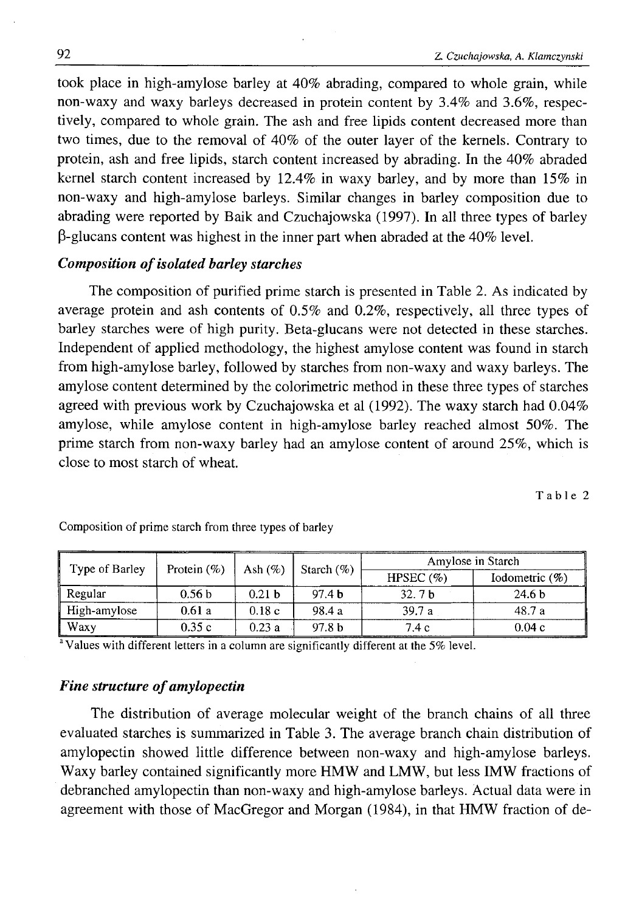took place in high-amylose barley at 40% abrading, compared to whole grain, while non-waxy and waxy barleys decreased in protein content by 3.4% and 3.6%, respectively, compared to whole grain. The ash and free lipids content decreased more than two times, due to the removal of 40% of the outer layer of the kernels. Contrary to protein, ash and free lipids, starch content increased by abrading. In the 40% abraded kernel starch content increased by 12.4% in waxy barley, and by more than 15% in non-waxy and high-amylose barleys. Similar changes in barley composition due to abrading were reported by Baik and Czuchajowska (1997). In all three types of barley β-glucans content was highest in the inner part when abraded at the 40% level.

# *Composition of isolated barley starches*

The composition of purified prime starch is presented in Table 2. As indicated by average protein and ash contents of 0.5% and 0.2%, respectively, all three types of barley starches were of high purity. Beta-glucans were not detected in these starches. Independent of applied methodology, the highest amylose content was found in starch from high-amylose barley, followed by starches from non-waxy and waxy barleys. The amylose content determined by the colorimetric method in these three types of starches agreed with previous work by Czuchajowska et al (1992). The waxy starch had 0.04% amylose, while amylose content in high-amylose barley reached almost 50%. The prime starch from non-waxy barley had an amylose content of around 25%, which is close to most starch of wheat.

Table 2

| Type of Barley | Protein $(\%)$    | Ash $(\%)$        | Starch $(\%)$     | Amylose in Starch |                    |  |
|----------------|-------------------|-------------------|-------------------|-------------------|--------------------|--|
|                |                   |                   |                   | HPSEC $(\% )$     | Iodometric $(\% )$ |  |
| Regular        | 0.56 <sub>b</sub> | 0.21 <sub>b</sub> | 97.4 <sub>b</sub> | 32.7 <sub>b</sub> | 24.6 <sub>b</sub>  |  |
| High-amylose   | 0.61a             | 0.18c             | 98.4 a            | 39.7a             | 48.7 a             |  |
| Waxy           | 0.35c             | 0.23a             | 97.8 b            | 7.4 c             | 0.04c              |  |

Composition of prime starch from three types of barley

<sup>a</sup> Values with different letters in a column are significantly different at the 5% level.

#### *Fine structure of amylopectin*

The distribution of average molecular weight of the branch chains of all three evaluated starches is summarized in Table 3. The average branch chain distribution of amylopectin showed little difference between non-waxy and high-amylose barleys. Waxy barley contained significantly more HMW and LMW, but less IMW fractions of debranched amylopectin than non-waxy and high-amylose barleys. Actual data were in agreement with those of MacGregor and Morgan (1984), in that HMW fraction of de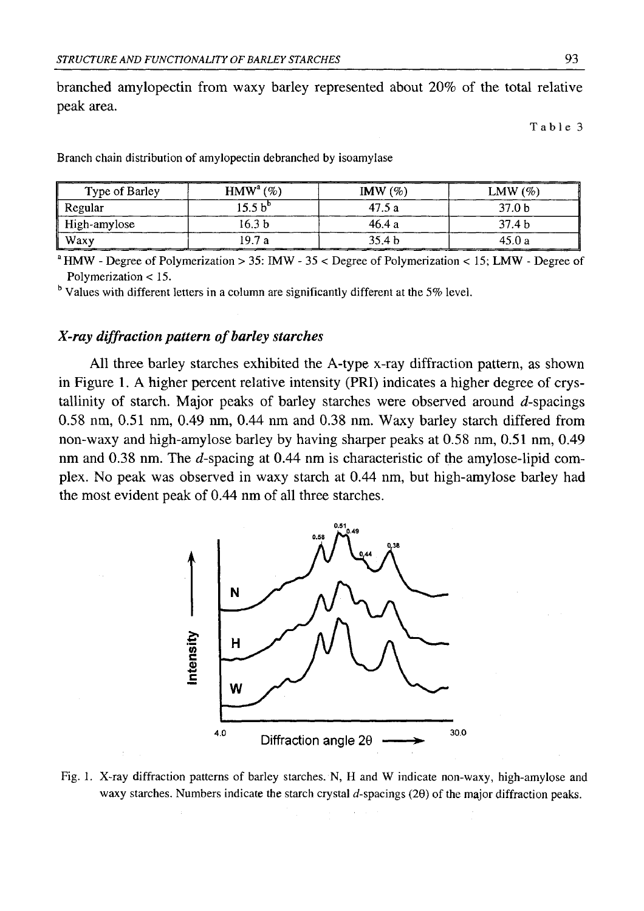branched amylopectin from waxy barley represented about 20% of the total relative peak area.

Table 3

Branch chain distribution of amylopectin debranched by isoamylase

| Type of Barley | HMW <sup>2</sup> (%) | IMW $(\%)$ | LMW (%` |
|----------------|----------------------|------------|---------|
| Regular        | 15.5 b <sup>o</sup>  | 47.5 a     | 37.0 b  |
| High-amylose   | 16.3 b               | 46.4 a     | 37.4 b  |
| Waxy           | 19.7 a               | 35.4 b     | 45.0 a  |

 $^{\circ}$  HMW - Degree of Polymerization > 35: IMW - 35 < Degree of Polymerization < 15; LMW - Degree of Polymerization <15.

b Values with different letters in a column are significantly different at the *5%* level.

# *X-ray diffraction pattern of barley starches*

All three barley starches exhibited the A-type x-ray diffraction pattern, as shown in Figure 1. A higher percent relative intensity (PRI) indicates a higher degree of crystallinity of starch. Major peaks of barley starches were observed around  $d$ -spacings 0.58 nm, 0.51 nm, 0.49 nm, 0.44 nm and 0.38 nm. Waxy barley starch differed from non-waxy and high-amylose barley by having sharper peaks at 0.58 nm, 0.51 nm, 0.49 nm and  $0.38$  nm. The  $d$ -spacing at  $0.44$  nm is characteristic of the amylose-lipid complex. No peak was observed in waxy starch at 0.44 nm, but high-amylose barley had the most evident peak of 0.44 nm of all three starches.



Fig. 1. X-ray diffraction patterns of barley starches. N, H and W indicate non-waxy, high-amylose and waxy starches. Numbers indicate the starch crystal d-spacings (2Θ) of the major diffraction peaks.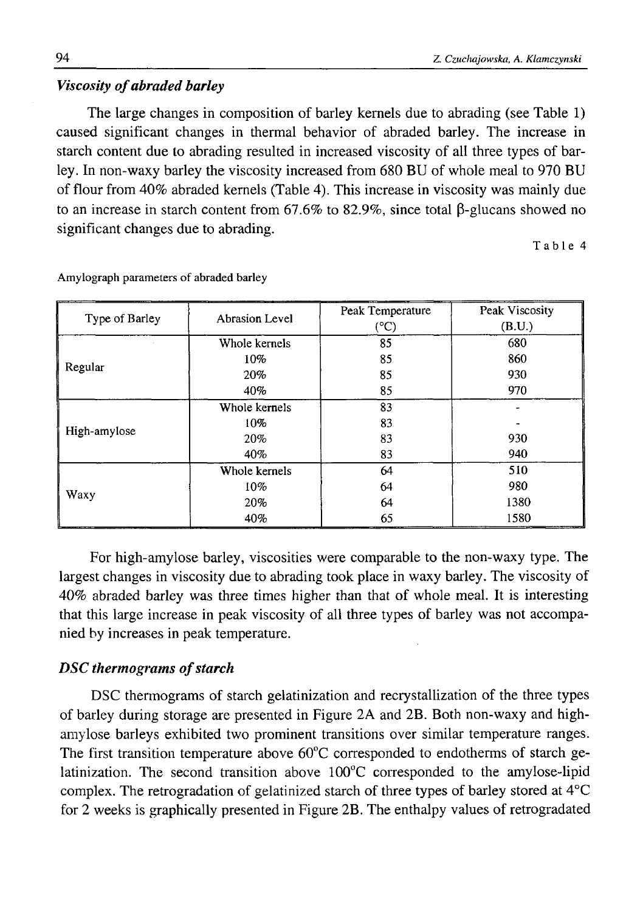# *Viscosity of abraded barley*

The large changes in composition of barley kernels due to abrading (see Table 1) caused significant changes in thermal behavior of abraded barley. The increase in starch content due to abrading resulted in increased viscosity of all three types of barley. In non-waxy barley the viscosity increased from 680 BU of whole meal to 970 BU of flour from 40% abraded kernels (Table 4). This increase in viscosity was mainly due to an increase in starch content from 67.6% to 82.9%, since total β-glucans showed no significant changes due to abrading.

Table 4

|                | <b>Abrasion Level</b> | Peak Temperature | Peak Viscosity |  |
|----------------|-----------------------|------------------|----------------|--|
| Type of Barley |                       | $(^{\circ}C)$    | (B.U.)         |  |
| Regular        | Whole kernels         | 85               | 680            |  |
|                | 10%                   | 85               | 860            |  |
|                | 20%                   | 85               | 930            |  |
|                | 40%                   | 85               | 970            |  |
|                | Whole kernels         | 83               |                |  |
|                | 10%                   | 83               |                |  |
| High-amylose   | 20%                   | 83               | 930            |  |
|                | 40%                   | 83               | 940            |  |
|                | Whole kernels         | 64               | 510            |  |
| Waxy           | 10%                   | 64               | 980            |  |
|                | 20%                   | 64               | 1380           |  |
|                | 40%                   | 65               | 1580           |  |

Amylograph parameters of abraded barley

For high-amylose barley, viscosities were comparable to the non-waxy type. The largest changes in viscosity due to abrading took place in waxy barley. The viscosity of 40% abraded barley was three times higher than that of whole meal. It is interesting that this large increase in peak viscosity of all three types of barley was not accompanied by increases in peak temperature.

## *DSC thermograms of starch*

DSC thermograms of starch gelatinization and recrystallization of the three types of barley during storage are presented in Figure 2A and 2B. Both non-waxy and highamylose barleys exhibited two prominent transitions over similar temperature ranges. The first transition temperature above 60°C corresponded to endotherms of starch gelatinization. The second transition above  $100^{\circ}$ C corresponded to the amylose-lipid complex. The retrogradation of gelatinized starch of three types of barley stored at 4°C for 2 weeks is graphically presented in Figure 2B. The enthalpy values of retrogradated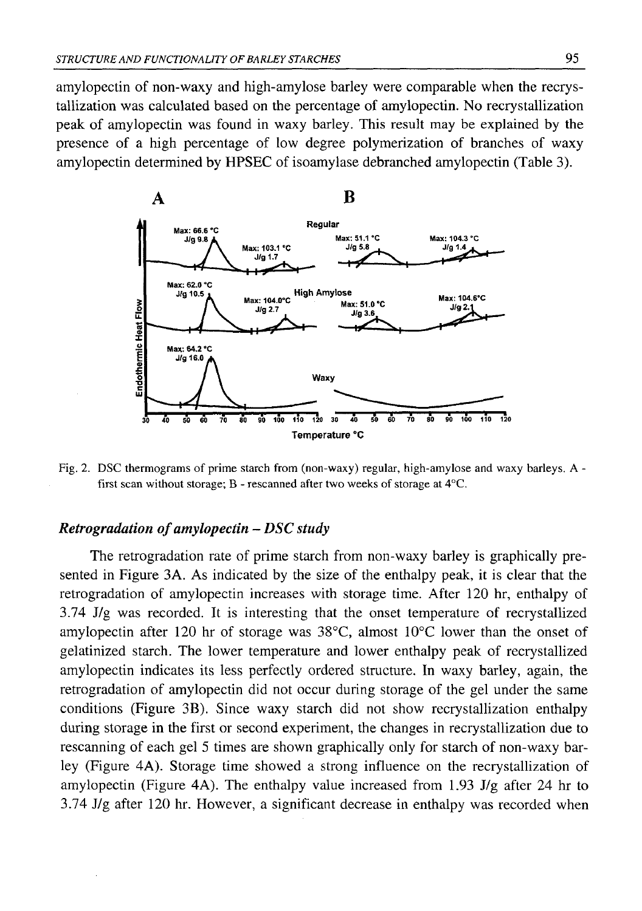amylopectin of non-waxy and high-amylose barley were comparable when the recrystallization was calculated based on the percentage of amylopectin. No recrystallization peak of amylopectin was found in waxy barley. This result may be explained by the presence of a high percentage of low degree polymerization of branches of waxy amylopectin determined by HPSEC of isoamylase debranched amylopectin (Table 3).



Fig. 2. DSC thermograms of prime starch from (non-waxy) regular, high-amylose and waxy barleys. A first scan without storage; B - rescanned after two weeks of storage at 4°C.

# *Retrogradation of amylopectin* - *DSC study*

The retrogradation rate of prime starch from non-waxy barley is graphically presented in Figure 3A. As indicated by the size of the enthalpy peak, it is clear that the retrogradation of amylopectin increases with storage time. After 120 hr, enthalpy of 3.74 J/g was recorded. It is interesting that the onset temperature of recrystallized amylopectin after 120 hr of storage was 38°C, almost 10°C lower than the onset of gelatinized starch. The lower temperature and lower enthalpy peak of recrystallized amylopectin indicates its less perfectly ordered structure. In waxy barley, again, the retrogradation of amylopectin did not occur during storage of the gel under the same conditions (Figure 3B). Since waxy starch did not show recrystallization enthalpy during storage in the first or second experiment, the changes in recrystallization due to rescanning of each gel 5 times are shown graphically only for starch of non-waxy barley (Figure 4A). Storage time showed a strong influence on the recrystallization of amylopectin (Figure 4A). The enthalpy value increased from 1.93 J/g after 24 hr to 3.74 J/g after 120 hr. However, a significant decrease in enthalpy was recorded when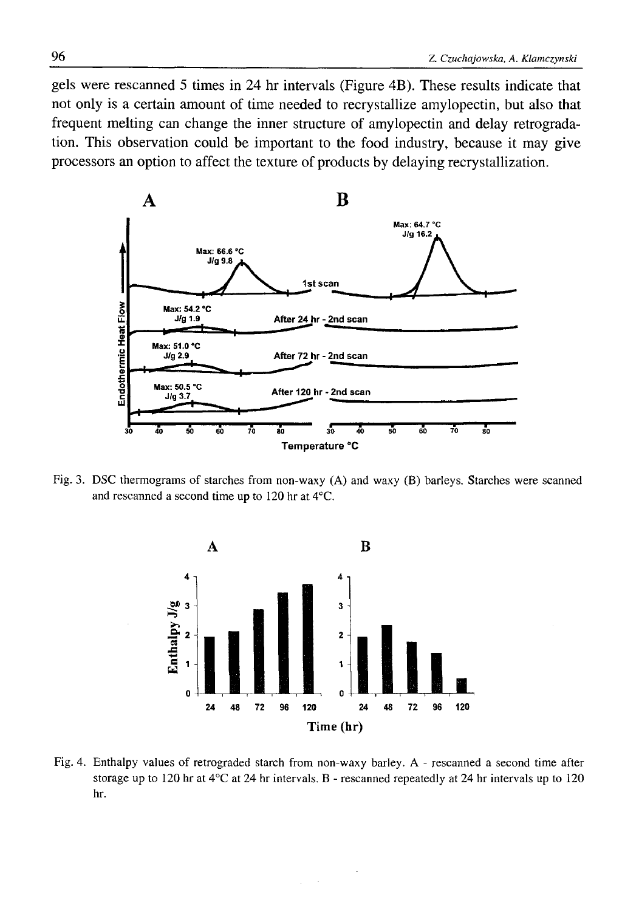gels were rescanned 5 times in 24 hr intervals (Figure 4B). These results indicate that not only is a certain amount of time needed to recrystallize amylopectin, but also that frequent melting can change the inner structure of amylopectin and delay retrogradation. This observation could be important to the food industry, because it may give processors an option to affect the texture of products by delaying recrystallization.



Fig. 3. DSC thermograms of starches from non-waxy (A) and waxy (B) barleys. Starches were scanned and rescanned a second time up to 120 hr at 4°C.



Fig. 4. Enthalpy values of retrograded starch from non-waxy barley. A - rescanned a second time after storage up to 120 hr at 4°C at 24 hr intervals. B - rescanned repeatedly at 24 hr intervals up to 120 hr.

 $\ddot{\phantom{a}}$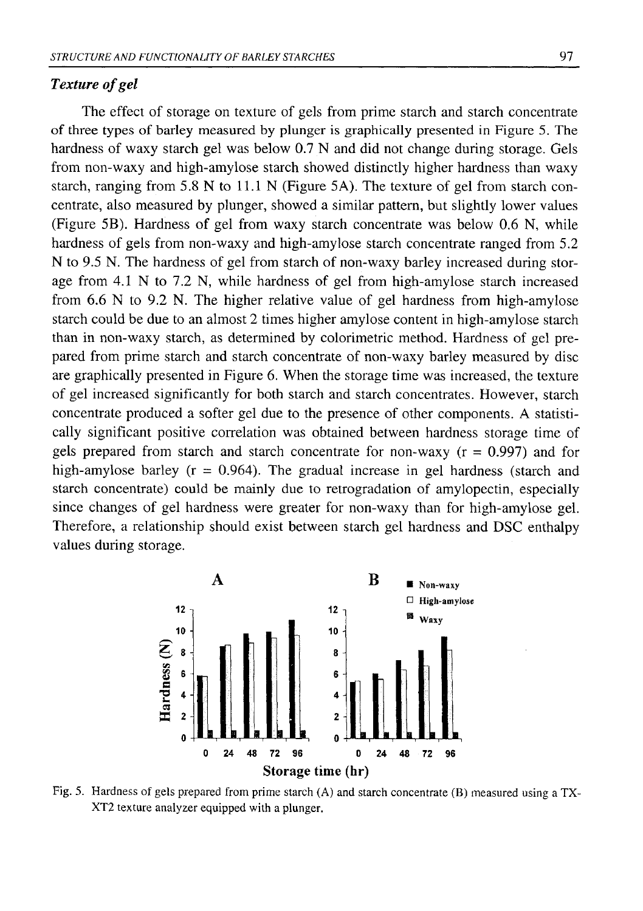#### *Texture of gel*

The effect of storage on texture of gels from prime starch and starch concentrate of three types of barley measured by plunger is graphically presented in Figure 5. The hardness of waxy starch gel was below 0.7 N and did not change during storage. Gels from non-waxy and high-amylose starch showed distinctly higher hardness than waxy starch, ranging from 5.8 N to 11.1 N (Figure 5A). The texture of gel from starch concentrate, also measured by plunger, showed a similar pattern, but slightly lower values (Figure 5B). Hardness of gel from waxy starch concentrate was below 0.6 N, while hardness of gels from non-waxy and high-amylose starch concentrate ranged from 5.2 N to 9.5 N. The hardness of gel from starch of non-waxy barley increased during storage from 4.1 N to 7.2 N, while hardness of gel from high-amylose starch increased from  $6.6$  N to  $9.2$  N. The higher relative value of gel hardness from high-amylose starch could be due to an almost 2 times higher amylose content in high-amylose starch than in non-waxy starch, as determined by colorimetric method. Hardness of gel prepared from prime starch and starch concentrate of non-waxy barley measured by disc are graphically presented in Figure 6 . When the storage time was increased, the texture of gel increased significantly for both starch and starch concentrates. However, starch concentrate produced a softer gel due to the presence of other components. A statistically significant positive correlation was obtained between hardness storage time of gels prepared from starch and starch concentrate for non-waxy  $(r = 0.997)$  and for high-amylose barley ( $r = 0.964$ ). The gradual increase in gel hardness (starch and starch concentrate) could be mainly due to retrogradation of amylopectin, especially since changes of gel hardness were greater for non-waxy than for high-amylose gel. Therefore, a relationship should exist between starch gel hardness and DSC enthalpy values during storage.



Fig. 5. Hardness of gels prepared from prime starch (A) and starch concentrate (B) measured using a TX-XT2 texture analyzer equipped with a plunger.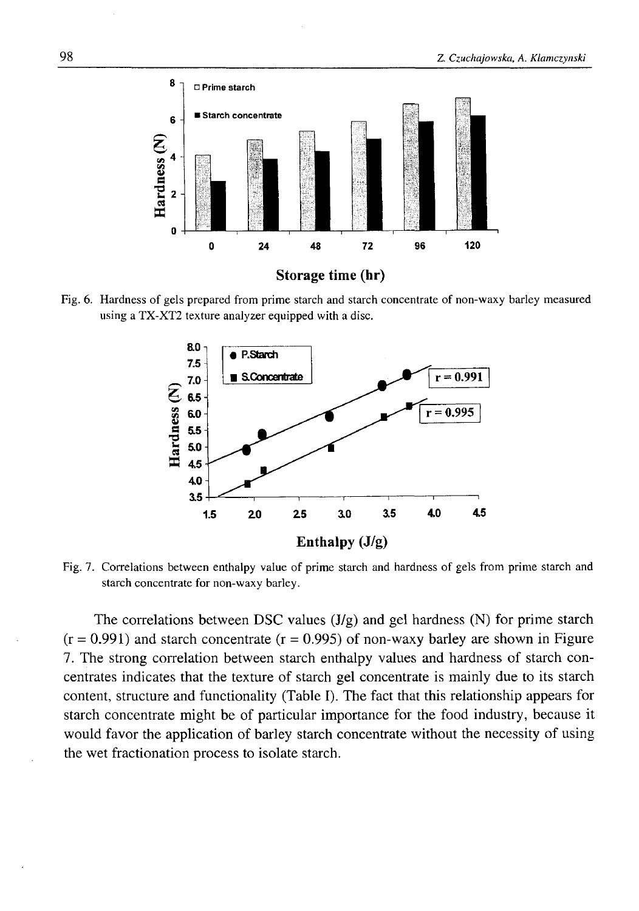

Fig. 6. Hardness of gels prepared from prime starch and starch concentrate of non-waxy barley measured using a TX-XT2 texture analyzer equipped with a disc.



Fig. 7. Correlations between enthalpy value of prime starch and hardness of gels from prime starch and starch concentrate for non-waxy barley.

The correlations between DSC values  $(J/g)$  and gel hardness (N) for prime starch  $(r = 0.991)$  and starch concentrate  $(r = 0.995)$  of non-waxy barley are shown in Figure 7. The strong correlation between starch enthalpy values and hardness of starch concentrates indicates that the texture of starch gel concentrate is mainly due to its starch content, structure and functionality (Table I). The fact that this relationship appears for starch concentrate might be of particular importance for the food industry, because it would favor the application of barley starch concentrate without the necessity of using the wet fractionation process to isolate starch.